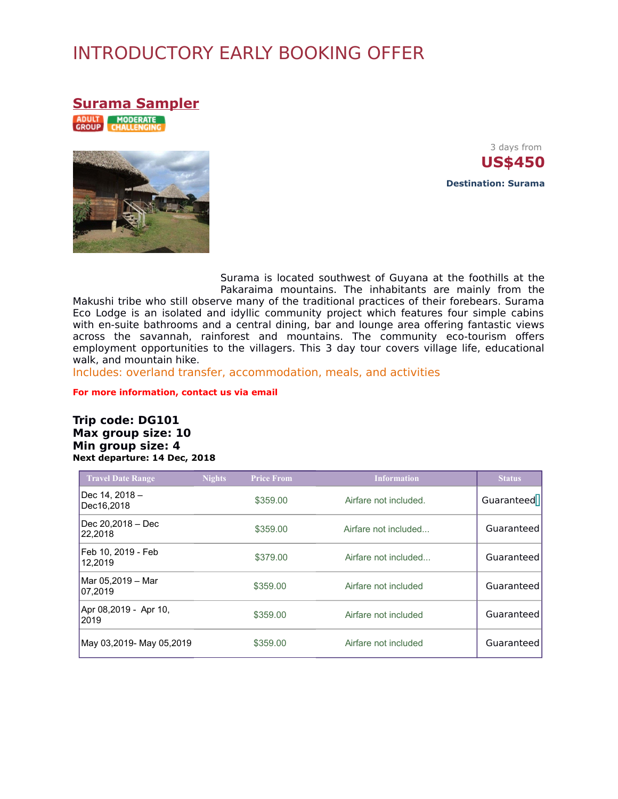# INTRODUCTORY EARLY BOOKING OFFER

**Surama Sampler**

ADULT MODERATE



3 days from **US\$450 Destination: Surama**

Surama is located southwest of Guyana at the foothills at the Pakaraima mountains. The inhabitants are mainly from the

Makushi tribe who still observe many of the traditional practices of their forebears. Surama Eco Lodge is an isolated and idyllic community project which features four simple cabins with en-suite bathrooms and a central dining, bar and lounge area offering fantastic views across the savannah, rainforest and mountains. The community eco-tourism offers employment opportunities to the villagers. This 3 day tour covers village life, educational walk, and mountain hike.

Includes: overland transfer, accommodation, meals, and activities

**For more information, contact us via email**

#### **Trip code: DG101 Max group size: 10 Min group size: 4 Next departure: 14 Dec, 2018**

| <b>Travel Date Range</b>      | <b>Nights</b> | <b>Price From</b> | <b>Information</b>    | Status     |
|-------------------------------|---------------|-------------------|-----------------------|------------|
| Dec 14, 2018 -<br>Dec16.2018  |               | \$359.00          | Airfare not included. | Guaranteed |
| Dec 20,2018 - Dec<br>22,2018  |               | \$359.00          | Airfare not included  | Guaranteed |
| Feb 10, 2019 - Feb<br>12.2019 |               | \$379.00          | Airfare not included  | Guaranteed |
| Mar 05,2019 - Mar<br>07,2019  |               | \$359.00          | Airfare not included  | Guaranteed |
| Apr 08,2019 - Apr 10,<br>2019 |               | \$359.00          | Airfare not included  | Guaranteed |
| May 03,2019- May 05,2019      |               | \$359.00          | Airfare not included  | Guaranteed |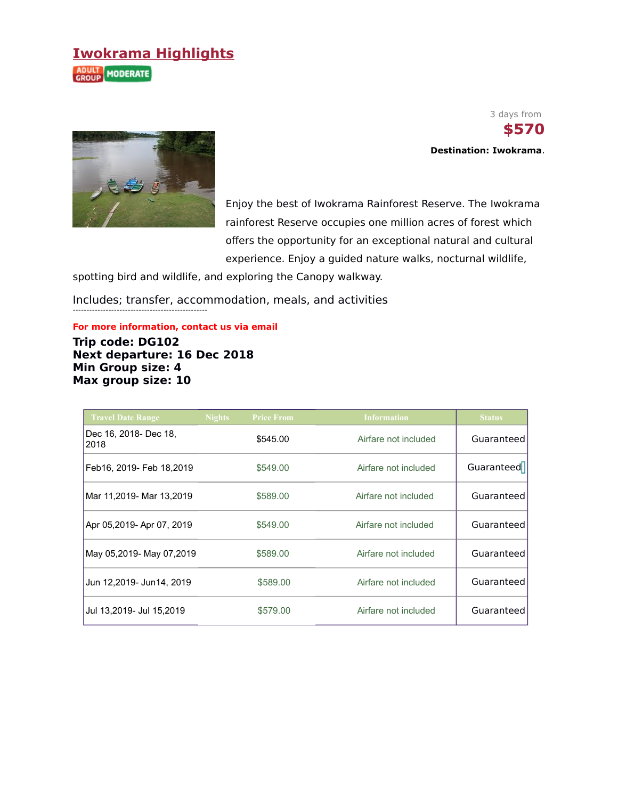## **Iwokrama Highlights**

**ADULT MODERATE** 



-------------------------------------------------

 3 days from  **\$570 Destination: Iwokrama**.

Enjoy the best of Iwokrama Rainforest Reserve. The Iwokrama rainforest Reserve occupies one million acres of forest which offers the opportunity for an exceptional natural and cultural experience. Enjoy a guided nature walks, nocturnal wildlife,

spotting bird and wildlife, and exploring the Canopy walkway.

Includes; transfer, accommodation, meals, and activities

**For more information, contact us via email**

**Trip code: DG102 Next departure: 16 Dec 2018 Min Group size: 4 Max group size: 10**

| <b>Travel Date Range</b>      | <b>Nights</b> | <b>Price From</b> | <b>Information</b>   | <b>Status</b> |
|-------------------------------|---------------|-------------------|----------------------|---------------|
| Dec 16, 2018- Dec 18,<br>2018 |               | \$545.00          | Airfare not included | Guaranteed    |
| Feb16, 2019- Feb 18,2019      |               | \$549.00          | Airfare not included | Guaranteed    |
| Mar 11,2019- Mar 13,2019      |               | \$589.00          | Airfare not included | Guaranteed    |
| Apr 05,2019- Apr 07, 2019     |               | \$549.00          | Airfare not included | Guaranteed    |
| May 05,2019- May 07,2019      |               | \$589.00          | Airfare not included | Guaranteed    |
| Jun 12,2019- Jun14, 2019      |               | \$589.00          | Airfare not included | Guaranteed    |
| Jul 13,2019- Jul 15,2019      |               | \$579.00          | Airfare not included | Guaranteed    |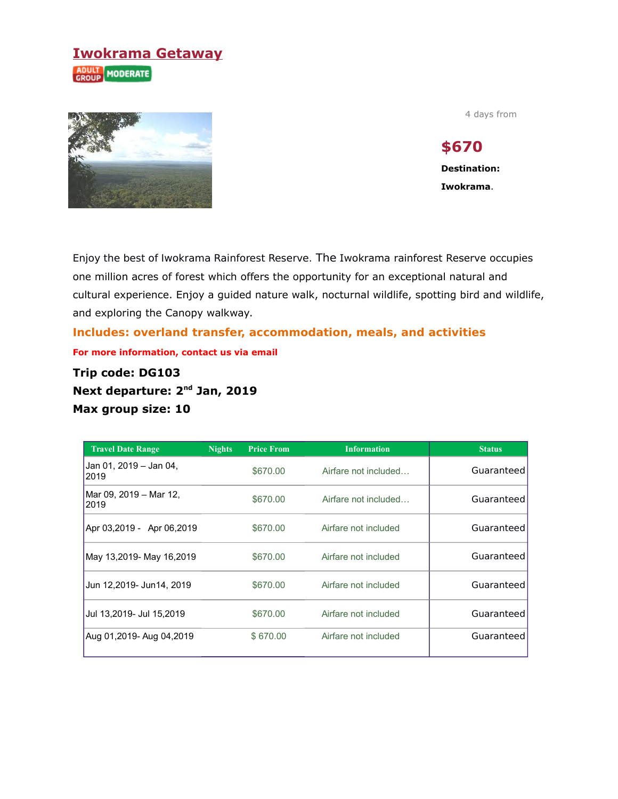## **Iwokrama Getaway ADULT MODERATE**



4 days from

# **\$670**

**Destination: Iwokrama**.

Enjoy the best of Iwokrama Rainforest Reserve. The Iwokrama rainforest Reserve occupies one million acres of forest which offers the opportunity for an exceptional natural and cultural experience. Enjoy a guided nature walk, nocturnal wildlife, spotting bird and wildlife, and exploring the Canopy walkway.

**Includes: overland transfer, accommodation, meals, and activities For more information, contact us via email**

**Trip code: DG103 Next departure: 2nd Jan, 2019 Max group size: 10**

| <b>Travel Date Range</b>       | <b>Nights</b> | <b>Price From</b> | <b>Information</b>   | <b>Status</b> |
|--------------------------------|---------------|-------------------|----------------------|---------------|
| Jan 01, 2019 - Jan 04,<br>2019 |               | \$670.00          | Airfare not included | Guaranteed    |
| Mar 09, 2019 – Mar 12,<br>2019 |               | \$670.00          | Airfare not included | Guaranteed    |
| Apr 03,2019 - Apr 06,2019      |               | \$670.00          | Airfare not included | Guaranteed    |
| May 13,2019- May 16,2019       |               | \$670.00          | Airfare not included | Guaranteed    |
| Jun 12,2019- Jun14, 2019       |               | \$670.00          | Airfare not included | Guaranteed    |
| Jul 13,2019- Jul 15,2019       |               | \$670.00          | Airfare not included | Guaranteed    |
| Aug 01,2019- Aug 04,2019       |               | \$670.00          | Airfare not included | Guaranteed    |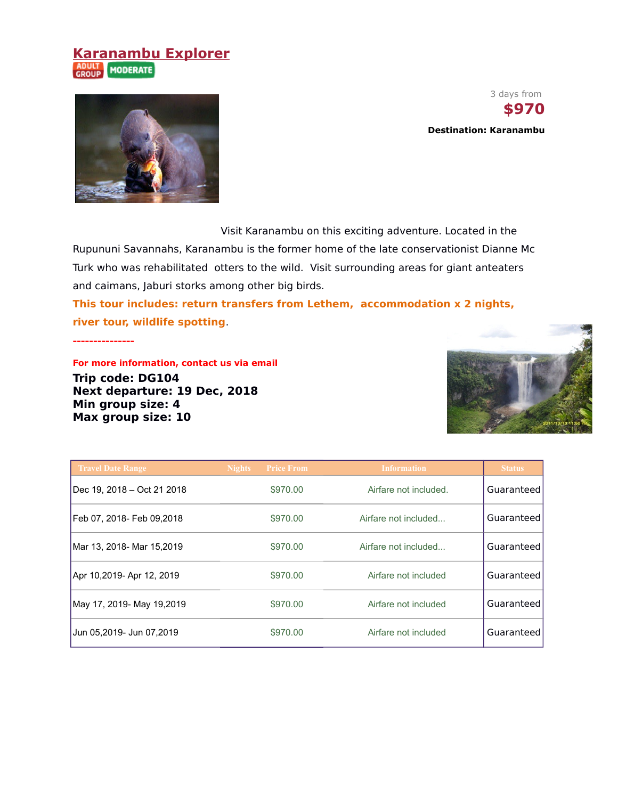### **Karanambu Explorer** ADULT MODERATE





Visit Karanambu on this exciting adventure. Located in the

Rupununi Savannahs, Karanambu is the former home of the late conservationist Dianne Mc Turk who was rehabilitated otters to the wild. Visit surrounding areas for giant anteaters and caimans, Jaburi storks among other big birds.

**This tour includes: return transfers from Lethem, accommodation x 2 nights, river tour, wildlife spotting**.

**---------------**

**For more information, contact us via email Trip code: DG104 Next departure: 19 Dec, 2018 Min group size: 4 Max group size: 10**



| <b>Travel Date Range</b>   | <b>Price From</b><br><b>Nights</b> | <b>Information</b>    | <b>Status</b> |
|----------------------------|------------------------------------|-----------------------|---------------|
| Dec 19, 2018 - Oct 21 2018 | \$970.00                           | Airfare not included. | Guaranteed    |
| Feb 07, 2018- Feb 09,2018  | \$970.00                           | Airfare not included  | Guaranteed    |
| Mar 13, 2018- Mar 15,2019  | \$970.00                           | Airfare not included  | Guaranteed    |
| Apr 10,2019- Apr 12, 2019  | \$970.00                           | Airfare not included  | Guaranteed    |
| May 17, 2019- May 19,2019  | \$970.00                           | Airfare not included  | Guaranteed    |
| Jun 05,2019- Jun 07,2019   | \$970.00                           | Airfare not included  | Guaranteed    |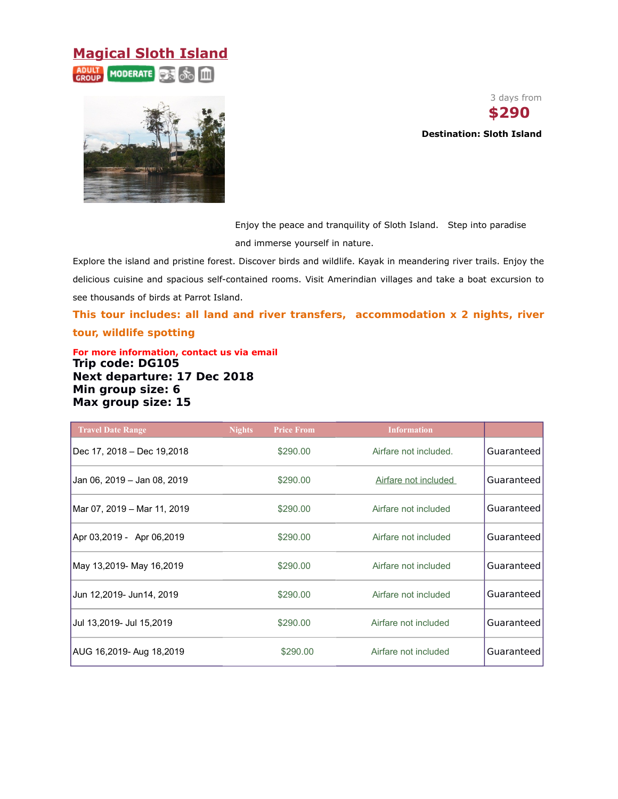### **Magical Sloth Island**

**MODERATE** [iii]



3 days from **\$290** 

**Destination: Sloth Island**

Enjoy the peace and tranquility of Sloth Island. Step into paradise and immerse yourself in nature.

Explore the island and pristine forest. Discover birds and wildlife. Kayak in meandering river trails. Enjoy the delicious cuisine and spacious self-contained rooms. Visit Amerindian villages and take a boat excursion to see thousands of birds at Parrot Island.

**This tour includes: all land and river transfers, accommodation x 2 nights, river tour, wildlife spotting**

**For more information, contact us via email Trip code: DG105 Next departure: 17 Dec 2018 Min group size: 6 Max group size: 15**

| <b>Travel Date Range</b>    | <b>Nights</b><br><b>Price From</b> | <b>Information</b>    |            |
|-----------------------------|------------------------------------|-----------------------|------------|
| Dec 17, 2018 – Dec 19,2018  | \$290.00                           | Airfare not included. | Guaranteed |
| Jan 06, 2019 - Jan 08, 2019 | \$290.00                           | Airfare not included  | Guaranteed |
| Mar 07, 2019 - Mar 11, 2019 | \$290.00                           | Airfare not included  | Guaranteed |
| Apr 03,2019 - Apr 06,2019   | \$290.00                           | Airfare not included  | Guaranteed |
| May 13,2019- May 16,2019    | \$290.00                           | Airfare not included  | Guaranteed |
| Jun 12,2019- Jun14, 2019    | \$290.00                           | Airfare not included  | Guaranteed |
| Jul 13,2019- Jul 15,2019    | \$290.00                           | Airfare not included  | Guaranteed |
| AUG 16,2019- Aug 18,2019    | \$290.00                           | Airfare not included  | Guaranteed |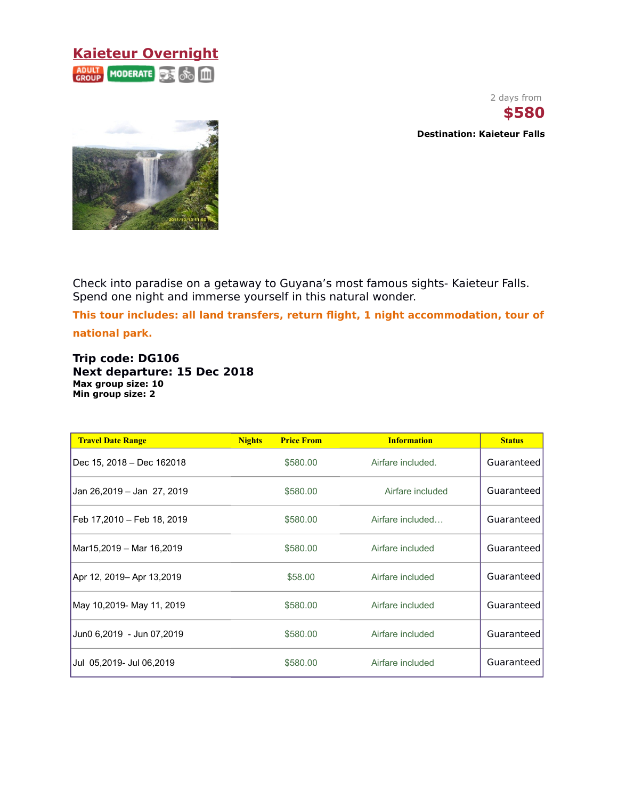#### **Kaieteur Overnight ADULT MODERATE** ஃ Ш

2 days from **\$580**

**Destination: Kaieteur Falls**



Check into paradise on a getaway to Guyana's most famous sights- Kaieteur Falls. Spend one night and immerse yourself in this natural wonder.

**This tour includes: all land transfers, return flight, 1 night accommodation, tour of national park.**

**Trip code: DG106 Next departure: 15 Dec 2018 Max group size: 10 Min group size: 2**

| <b>Travel Date Range</b>   | <b>Nights</b> | <b>Price From</b> | <b>Information</b> | <b>Status</b> |
|----------------------------|---------------|-------------------|--------------------|---------------|
| Dec 15, 2018 – Dec 162018  |               | \$580.00          | Airfare included.  | Guaranteed    |
| Jan 26,2019 - Jan 27, 2019 |               | \$580.00          | Airfare included   | Guaranteed    |
| Feb 17,2010 – Feb 18, 2019 |               | \$580.00          | Airfare included   | Guaranteed    |
| Mar15,2019 – Mar 16,2019   |               | \$580.00          | Airfare included   | Guaranteed    |
| Apr 12, 2019– Apr 13,2019  |               | \$58.00           | Airfare included   | Guaranteed    |
| May 10,2019- May 11, 2019  |               | \$580.00          | Airfare included   | Guaranteed    |
| Jun0 6,2019 - Jun 07,2019  |               | \$580.00          | Airfare included   | Guaranteed    |
| Jul 05,2019- Jul 06,2019   |               | \$580.00          | Airfare included   | Guaranteed    |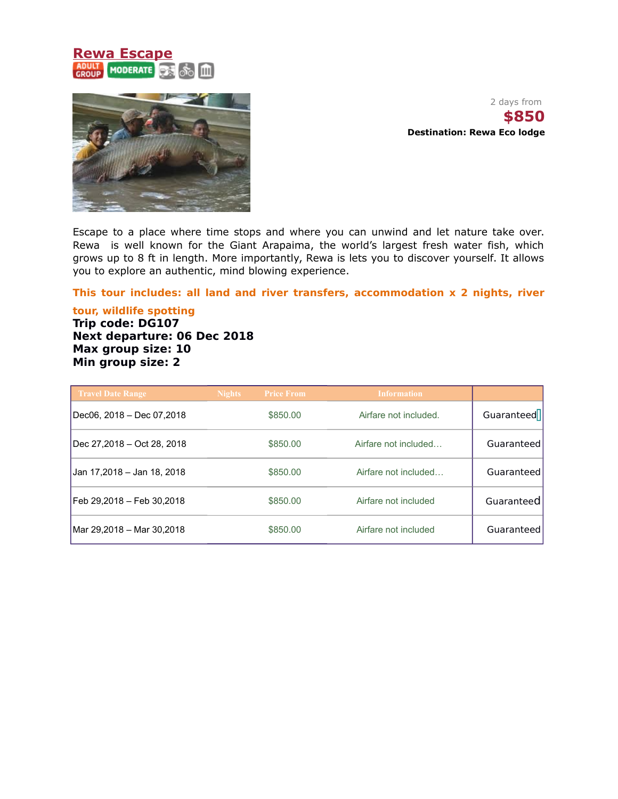### **Rewa Escape** MODERATE **CAR 30 III**



2 days from **\$850 Destination: Rewa Eco lodge**

Escape to a place where time stops and where you can unwind and let nature take over. Rewa is well known for the Giant Arapaima, the world's largest fresh water fish, which grows up to 8 ft in length. More importantly, Rewa is lets you to discover yourself. It allows you to explore an authentic, mind blowing experience.

#### **This tour includes: all land and river transfers, accommodation x 2 nights, river**

**tour, wildlife spotting Trip code: DG107 Next departure: 06 Dec 2018 Max group size: 10 Min group size: 2**

| <b>Travel Date Range</b>   | <b>Nights</b> | <b>Price From</b> | <b>Information</b>    |            |
|----------------------------|---------------|-------------------|-----------------------|------------|
| Dec06, 2018 - Dec 07,2018  |               | \$850.00          | Airfare not included. | Guaranteed |
| Dec 27,2018 - Oct 28, 2018 |               | \$850.00          | Airfare not included  | Guaranteed |
| Jan 17,2018 – Jan 18, 2018 |               | \$850.00          | Airfare not included  | Guaranteed |
| Feb 29,2018 – Feb 30,2018  |               | \$850.00          | Airfare not included  | Guaranteed |
| Mar 29,2018 - Mar 30,2018  |               | \$850.00          | Airfare not included  | Guaranteed |